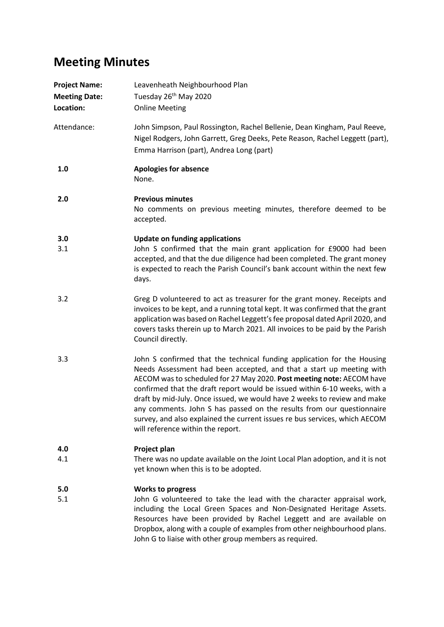## **Meeting Minutes**

| <b>Project Name:</b><br><b>Meeting Date:</b><br>Location: | Leavenheath Neighbourhood Plan<br>Tuesday 26 <sup>th</sup> May 2020<br><b>Online Meeting</b>                                                                                                                                                                                                                                                                                                                                                                                                                                                                                  |
|-----------------------------------------------------------|-------------------------------------------------------------------------------------------------------------------------------------------------------------------------------------------------------------------------------------------------------------------------------------------------------------------------------------------------------------------------------------------------------------------------------------------------------------------------------------------------------------------------------------------------------------------------------|
| Attendance:                                               | John Simpson, Paul Rossington, Rachel Bellenie, Dean Kingham, Paul Reeve,<br>Nigel Rodgers, John Garrett, Greg Deeks, Pete Reason, Rachel Leggett (part),<br>Emma Harrison (part), Andrea Long (part)                                                                                                                                                                                                                                                                                                                                                                         |
| 1.0                                                       | <b>Apologies for absence</b><br>None.                                                                                                                                                                                                                                                                                                                                                                                                                                                                                                                                         |
| 2.0                                                       | <b>Previous minutes</b><br>No comments on previous meeting minutes, therefore deemed to be<br>accepted.                                                                                                                                                                                                                                                                                                                                                                                                                                                                       |
| 3.0<br>3.1                                                | <b>Update on funding applications</b><br>John S confirmed that the main grant application for £9000 had been<br>accepted, and that the due diligence had been completed. The grant money<br>is expected to reach the Parish Council's bank account within the next few<br>days.                                                                                                                                                                                                                                                                                               |
| 3.2                                                       | Greg D volunteered to act as treasurer for the grant money. Receipts and<br>invoices to be kept, and a running total kept. It was confirmed that the grant<br>application was based on Rachel Leggett's fee proposal dated April 2020, and<br>covers tasks therein up to March 2021. All invoices to be paid by the Parish<br>Council directly.                                                                                                                                                                                                                               |
| 3.3                                                       | John S confirmed that the technical funding application for the Housing<br>Needs Assessment had been accepted, and that a start up meeting with<br>AECOM was to scheduled for 27 May 2020. Post meeting note: AECOM have<br>confirmed that the draft report would be issued within 6-10 weeks, with a<br>draft by mid-July. Once issued, we would have 2 weeks to review and make<br>any comments. John S has passed on the results from our questionnaire<br>survey, and also explained the current issues re bus services, which AECOM<br>will reference within the report. |
| 4.0<br>4.1                                                | Project plan<br>There was no update available on the Joint Local Plan adoption, and it is not<br>yet known when this is to be adopted.                                                                                                                                                                                                                                                                                                                                                                                                                                        |
| 5.0<br>5.1                                                | <b>Works to progress</b><br>John G volunteered to take the lead with the character appraisal work,<br>including the Local Green Spaces and Non-Designated Heritage Assets.<br>Resources have been provided by Rachel Leggett and are available on<br>Dropbox, along with a couple of examples from other neighbourhood plans.<br>John G to liaise with other group members as required.                                                                                                                                                                                       |